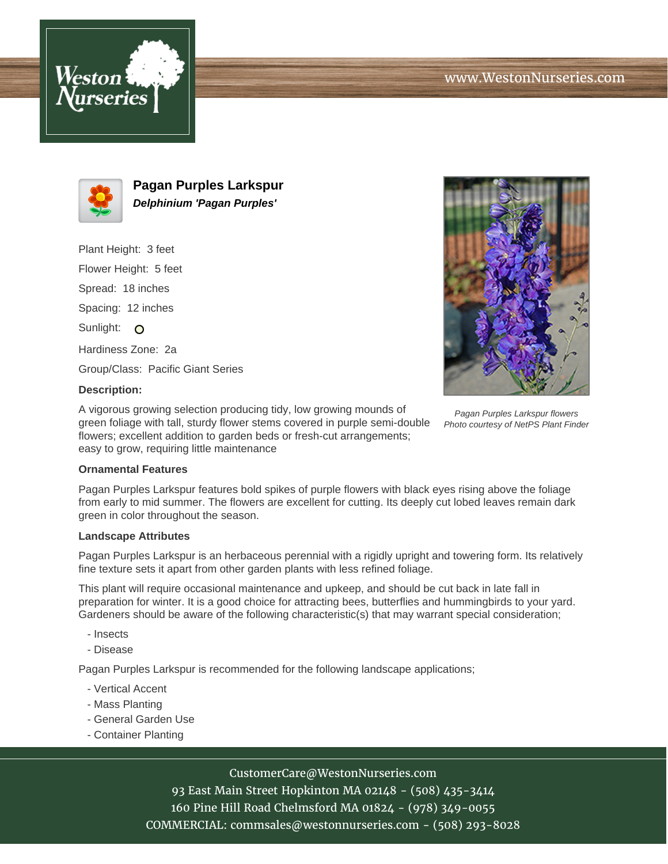



**Pagan Purples Larkspur Delphinium 'Pagan Purples'**

Plant Height: 3 feet Flower Height: 5 feet Spread: 18 inches Spacing: 12 inches Sunlight: O Hardiness Zone: 2a Group/Class: Pacific Giant Series



# **Description:**

A vigorous growing selection producing tidy, low growing mounds of green foliage with tall, sturdy flower stems covered in purple semi-double flowers; excellent addition to garden beds or fresh-cut arrangements; easy to grow, requiring little maintenance

#### Pagan Purples Larkspur flowers Photo courtesy of NetPS Plant Finder

### **Ornamental Features**

Pagan Purples Larkspur features bold spikes of purple flowers with black eyes rising above the foliage from early to mid summer. The flowers are excellent for cutting. Its deeply cut lobed leaves remain dark green in color throughout the season.

### **Landscape Attributes**

Pagan Purples Larkspur is an herbaceous perennial with a rigidly upright and towering form. Its relatively fine texture sets it apart from other garden plants with less refined foliage.

This plant will require occasional maintenance and upkeep, and should be cut back in late fall in preparation for winter. It is a good choice for attracting bees, butterflies and hummingbirds to your yard. Gardeners should be aware of the following characteristic(s) that may warrant special consideration;

- Insects
- Disease

Pagan Purples Larkspur is recommended for the following landscape applications;

- Vertical Accent
- Mass Planting
- General Garden Use
- Container Planting

# CustomerCare@WestonNurseries.com

93 East Main Street Hopkinton MA 02148 - (508) 435-3414 160 Pine Hill Road Chelmsford MA 01824 - (978) 349-0055 COMMERCIAL: commsales@westonnurseries.com - (508) 293-8028